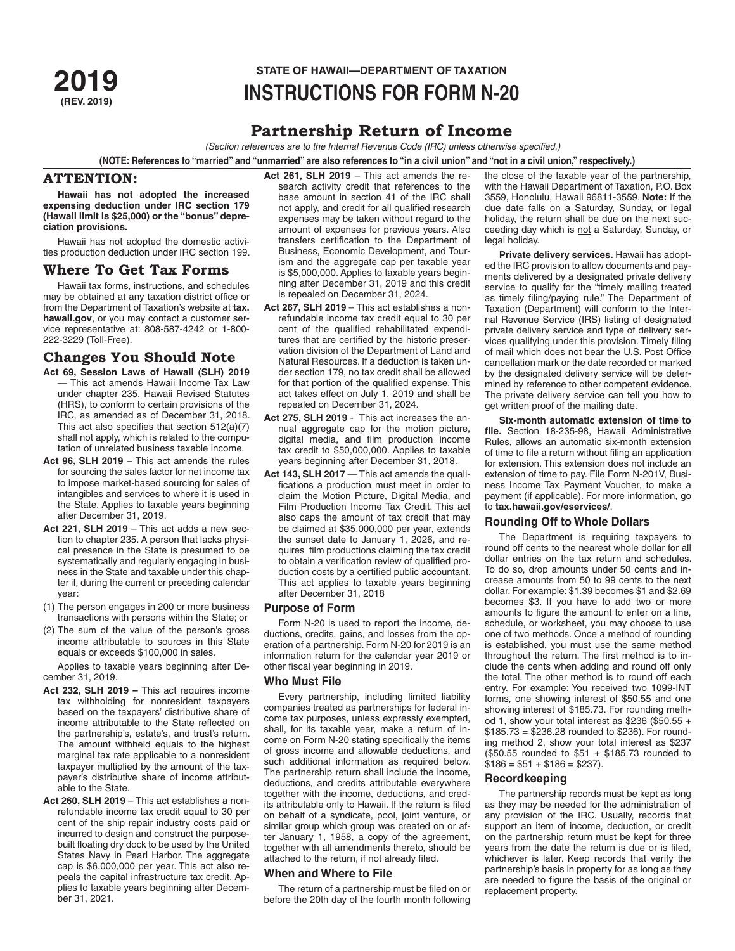# **STATE OF HAWAII—DEPARTMENT OF TAXATION<br>2019 INSTRIICTIONS FOR FORM N-2 (REV. 2019) INSTRUCTIONS FOR FORM N-20**

# **Partnership Return of Income**

*(Section references are to the Internal Revenue Code (IRC) unless otherwise specified.)*

**(NOTE: References to "married" and "unmarried" are also references to "in a civil union" and "not in a civil union," respectively.)**

# **ATTENTION:**

**Hawaii has not adopted the increased expensing deduction under IRC section 179 (Hawaii limit is \$25,000) or the "bonus" depreciation provisions.**

Hawaii has not adopted the domestic activities production deduction under IRC section 199.

## **Where To Get Tax Forms**

Hawaii tax forms, instructions, and schedules may be obtained at any taxation district office or from the Department of Taxation's website at **tax. hawaii.gov**, or you may contact a customer service representative at: 808-587-4242 or 1-800- 222-3229 (Toll-Free).

## **Changes You Should Note**

- **Act 69, Session Laws of Hawaii (SLH) 2019** — This act amends Hawaii Income Tax Law under chapter 235, Hawaii Revised Statutes (HRS), to conform to certain provisions of the IRC, as amended as of December 31, 2018. This act also specifies that section 512(a)(7) shall not apply, which is related to the computation of unrelated business taxable income.
- **Act 96, SLH 2019** This act amends the rules for sourcing the sales factor for net income tax to impose market-based sourcing for sales of intangibles and services to where it is used in the State. Applies to taxable years beginning after December 31, 2019.
- **Act 221, SLH 2019** This act adds a new section to chapter 235. A person that lacks physical presence in the State is presumed to be systematically and regularly engaging in business in the State and taxable under this chapter if, during the current or preceding calendar year:
- (1) The person engages in 200 or more business transactions with persons within the State; or
- (2) The sum of the value of the person's gross income attributable to sources in this State equals or exceeds \$100,000 in sales.

Applies to taxable years beginning after December 31, 2019.

- **Act 232, SLH 2019** This act requires income tax withholding for nonresident taxpayers based on the taxpayers' distributive share of income attributable to the State reflected on the partnership's, estate's, and trust's return. The amount withheld equals to the highest marginal tax rate applicable to a nonresident taxpayer multiplied by the amount of the taxpayer's distributive share of income attributable to the State.
- **Act 260, SLH 2019** This act establishes a nonrefundable income tax credit equal to 30 per cent of the ship repair industry costs paid or incurred to design and construct the purposebuilt floating dry dock to be used by the United States Navy in Pearl Harbor. The aggregate cap is \$6,000,000 per year. This act also repeals the capital infrastructure tax credit. Applies to taxable years beginning after December 31, 2021.

**Act 261, SLH 2019** – This act amends the research activity credit that references to the base amount in section 41 of the IRC shall not apply, and credit for all qualified research expenses may be taken without regard to the amount of expenses for previous years. Also transfers certification to the Department of Business, Economic Development, and Tourism and the aggregate cap per taxable year is \$5,000,000. Applies to taxable years beginning after December 31, 2019 and this credit is repealed on December 31, 2024.

- **Act 267, SLH 2019**  This act establishes a nonrefundable income tax credit equal to 30 per cent of the qualified rehabilitated expenditures that are certified by the historic preservation division of the Department of Land and Natural Resources. If a deduction is taken under section 179, no tax credit shall be allowed for that portion of the qualified expense. This act takes effect on July 1, 2019 and shall be repealed on December 31, 2024.
- **Act 275, SLH 2019** This act increases the annual aggregate cap for the motion picture, digital media, and film production income tax credit to \$50,000,000. Applies to taxable years beginning after December 31, 2018.
- **Act 143, SLH 2017**  This act amends the qualifications a production must meet in order to claim the Motion Picture, Digital Media, and Film Production Income Tax Credit. This act also caps the amount of tax credit that may be claimed at \$35,000,000 per year, extends the sunset date to January 1, 2026, and requires film productions claiming the tax credit to obtain a verification review of qualified production costs by a certified public accountant. This act applies to taxable years beginning after December 31, 2018

## **Purpose of Form**

Form N-20 is used to report the income, deductions, credits, gains, and losses from the operation of a partnership. Form N-20 for 2019 is an information return for the calendar year 2019 or other fiscal year beginning in 2019.

#### **Who Must File**

Every partnership, including limited liability companies treated as partnerships for federal income tax purposes, unless expressly exempted, shall, for its taxable year, make a return of income on Form N-20 stating specifically the items of gross income and allowable deductions, and such additional information as required below. The partnership return shall include the income, deductions, and credits attributable everywhere together with the income, deductions, and credits attributable only to Hawaii. If the return is filed on behalf of a syndicate, pool, joint venture, or similar group which group was created on or after January 1, 1958, a copy of the agreement, together with all amendments thereto, should be attached to the return, if not already filed.

#### **When and Where to File**

The return of a partnership must be filed on or before the 20th day of the fourth month following

the close of the taxable year of the partnership, with the Hawaii Department of Taxation, P.O. Box 3559, Honolulu, Hawaii 96811-3559. **Note:** If the due date falls on a Saturday, Sunday, or legal holiday, the return shall be due on the next succeeding day which is not a Saturday, Sunday, or legal holiday.

**Private delivery services.** Hawaii has adopted the IRC provision to allow documents and payments delivered by a designated private delivery service to qualify for the "timely mailing treated as timely filing/paying rule." The Department of Taxation (Department) will conform to the Internal Revenue Service (IRS) listing of designated private delivery service and type of delivery services qualifying under this provision. Timely filing of mail which does not bear the U.S. Post Office cancellation mark or the date recorded or marked by the designated delivery service will be determined by reference to other competent evidence. The private delivery service can tell you how to get written proof of the mailing date.

**Six-month automatic extension of time to file.** Section 18-235-98, Hawaii Administrative Rules, allows an automatic six-month extension of time to file a return without filing an application for extension. This extension does not include an extension of time to pay. File Form N-201V, Business Income Tax Payment Voucher, to make a payment (if applicable). For more information, go to **tax.hawaii.gov/eservices/**.

## **Rounding Off to Whole Dollars**

The Department is requiring taxpayers to round off cents to the nearest whole dollar for all dollar entries on the tax return and schedules. To do so, drop amounts under 50 cents and increase amounts from 50 to 99 cents to the next dollar. For example: \$1.39 becomes \$1 and \$2.69 becomes \$3. If you have to add two or more amounts to figure the amount to enter on a line, schedule, or worksheet, you may choose to use one of two methods. Once a method of rounding is established, you must use the same method throughout the return. The first method is to include the cents when adding and round off only the total. The other method is to round off each entry. For example: You received two 1099-INT forms, one showing interest of \$50.55 and one showing interest of \$185.73. For rounding method 1, show your total interest as \$236 (\$50.55 + \$185.73 = \$236.28 rounded to \$236). For rounding method 2, show your total interest as \$237 (\$50.55 rounded to \$51 + \$185.73 rounded to  $$186 = $51 + $186 = $237$ ).

## **Recordkeeping**

The partnership records must be kept as long as they may be needed for the administration of any provision of the IRC. Usually, records that support an item of income, deduction, or credit on the partnership return must be kept for three years from the date the return is due or is filed, whichever is later. Keep records that verify the partnership's basis in property for as long as they are needed to figure the basis of the original or replacement property.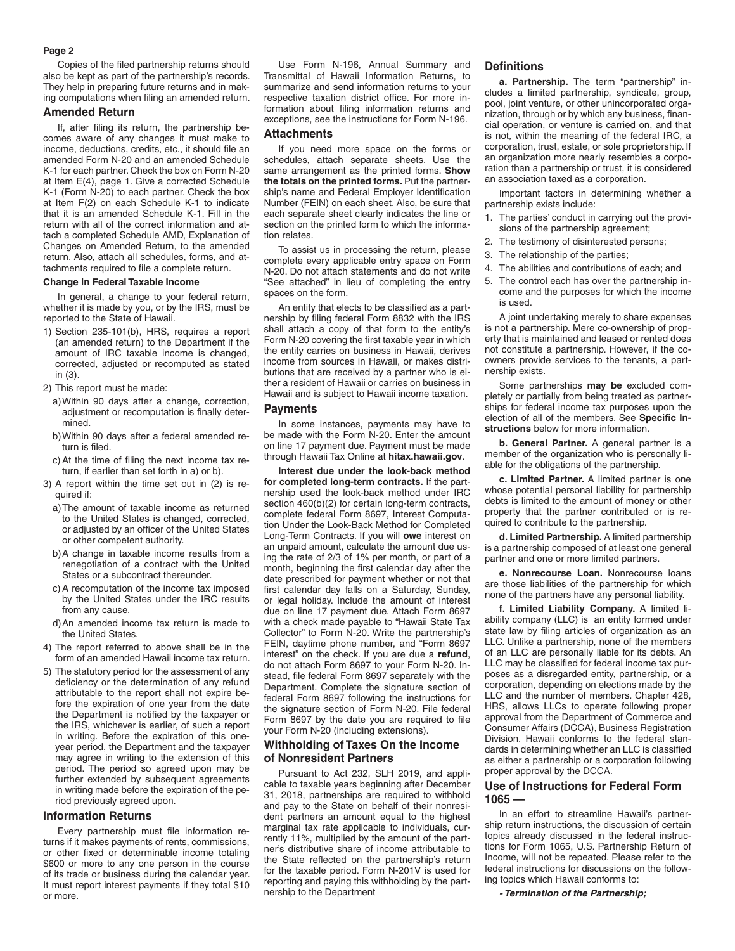#### **Page 2**

Copies of the filed partnership returns should also be kept as part of the partnership's records. They help in preparing future returns and in making computations when filing an amended return.

## **Amended Return**

If, after filing its return, the partnership becomes aware of any changes it must make to income, deductions, credits, etc., it should file an amended Form N-20 and an amended Schedule K-1 for each partner. Check the box on Form N-20 at Item E(4), page 1. Give a corrected Schedule K-1 (Form N-20) to each partner. Check the box at Item F(2) on each Schedule K-1 to indicate that it is an amended Schedule K-1. Fill in the return with all of the correct information and attach a completed Schedule AMD, Explanation of Changes on Amended Return, to the amended return. Also, attach all schedules, forms, and attachments required to file a complete return.

#### **Change in Federal Taxable Income**

In general, a change to your federal return, whether it is made by you, or by the IRS, must be reported to the State of Hawaii.

- 1) Section 235-101(b), HRS, requires a report (an amended return) to the Department if the amount of IRC taxable income is changed, corrected, adjusted or recomputed as stated in (3).
- 2) This report must be made:
	- a)Within 90 days after a change, correction, adjustment or recomputation is finally determined.
	- b)Within 90 days after a federal amended return is filed.
	- c)At the time of filing the next income tax return, if earlier than set forth in a) or b).
- 3) A report within the time set out in (2) is required if:
	- a)The amount of taxable income as returned to the United States is changed, corrected, or adjusted by an officer of the United States or other competent authority.
	- b)A change in taxable income results from a renegotiation of a contract with the United States or a subcontract thereunder.
	- c)A recomputation of the income tax imposed by the United States under the IRC results from any cause.
	- d)An amended income tax return is made to the United States.
- 4) The report referred to above shall be in the form of an amended Hawaii income tax return.
- 5) The statutory period for the assessment of any deficiency or the determination of any refund attributable to the report shall not expire before the expiration of one year from the date the Department is notified by the taxpayer or the IRS, whichever is earlier, of such a report in writing. Before the expiration of this oneyear period, the Department and the taxpayer may agree in writing to the extension of this period. The period so agreed upon may be further extended by subsequent agreements in writing made before the expiration of the period previously agreed upon.

#### **Information Returns**

Every partnership must file information returns if it makes payments of rents, commissions, or other fixed or determinable income totaling \$600 or more to any one person in the course of its trade or business during the calendar year. It must report interest payments if they total \$10 or more.

Use Form N-196, Annual Summary and Transmittal of Hawaii Information Returns, to summarize and send information returns to your respective taxation district office. For more information about filing information returns and exceptions, see the instructions for Form N-196.

#### **Attachments**

If you need more space on the forms or schedules, attach separate sheets. Use the same arrangement as the printed forms. **Show the totals on the printed forms.** Put the partnership's name and Federal Employer Identification Number (FEIN) on each sheet. Also, be sure that each separate sheet clearly indicates the line or section on the printed form to which the information relates.

To assist us in processing the return, please complete every applicable entry space on Form N-20. Do not attach statements and do not write "See attached" in lieu of completing the entry spaces on the form.

An entity that elects to be classified as a partnership by filing federal Form 8832 with the IRS shall attach a copy of that form to the entity's Form N-20 covering the first taxable year in which the entity carries on business in Hawaii, derives income from sources in Hawaii, or makes distributions that are received by a partner who is either a resident of Hawaii or carries on business in Hawaii and is subject to Hawaii income taxation.

#### **Payments**

In some instances, payments may have to be made with the Form N-20. Enter the amount on line 17 payment due. Payment must be made through Hawaii Tax Online at **hitax.hawaii.gov**.

**Interest due under the look-back method for completed long-term contracts.** If the partnership used the look-back method under IRC section 460(b)(2) for certain long-term contracts, complete federal Form 8697, Interest Computation Under the Look-Back Method for Completed Long-Term Contracts. If you will **owe** interest on an unpaid amount, calculate the amount due using the rate of 2/3 of 1% per month, or part of a month, beginning the first calendar day after the date prescribed for payment whether or not that first calendar day falls on a Saturday, Sunday, or legal holiday. Include the amount of interest due on line 17 payment due. Attach Form 8697 with a check made payable to "Hawaii State Tax Collector" to Form N-20. Write the partnership's FEIN, daytime phone number, and "Form 8697 interest" on the check. If you are due a **refund**, do not attach Form 8697 to your Form N-20. Instead, file federal Form 8697 separately with the Department. Complete the signature section of federal Form 8697 following the instructions for the signature section of Form N-20. File federal Form 8697 by the date you are required to file your Form N-20 (including extensions).

## **Withholding of Taxes On the Income of Nonresident Partners**

Pursuant to Act 232, SLH 2019, and applicable to taxable years beginning after December 31, 2018, partnerships are required to withhold and pay to the State on behalf of their nonresident partners an amount equal to the highest marginal tax rate applicable to individuals, currently 11%, multiplied by the amount of the partner's distributive share of income attributable to the State reflected on the partnership's return for the taxable period. Form N-201V is used for reporting and paying this withholding by the partnership to the Department

## **Definitions**

**a. Partnership.** The term "partnership" includes a limited partnership, syndicate, group, pool, joint venture, or other unincorporated organization, through or by which any business, financial operation, or venture is carried on, and that is not, within the meaning of the federal IRC, a corporation, trust, estate, or sole proprietorship. If an organization more nearly resembles a corporation than a partnership or trust, it is considered an association taxed as a corporation.

Important factors in determining whether a partnership exists include:

- 1. The parties' conduct in carrying out the provisions of the partnership agreement;
- 2. The testimony of disinterested persons;
- 3. The relationship of the parties;
- 4. The abilities and contributions of each; and
- 5. The control each has over the partnership income and the purposes for which the income is used.

A joint undertaking merely to share expenses is not a partnership. Mere co-ownership of property that is maintained and leased or rented does not constitute a partnership. However, if the coowners provide services to the tenants, a partnership exists.

Some partnerships **may be** excluded completely or partially from being treated as partnerships for federal income tax purposes upon the election of all of the members. See **Specific Instructions** below for more information.

**b. General Partner.** A general partner is a member of the organization who is personally liable for the obligations of the partnership.

**c. Limited Partner.** A limited partner is one whose potential personal liability for partnership debts is limited to the amount of money or other property that the partner contributed or is required to contribute to the partnership.

**d. Limited Partnership.** A limited partnership is a partnership composed of at least one general partner and one or more limited partners.

**e. Nonrecourse Loan.** Nonrecourse loans are those liabilities of the partnership for which none of the partners have any personal liability.

**f. Limited Liability Company.** A limited liability company (LLC) is an entity formed under state law by filing articles of organization as an LLC. Unlike a partnership, none of the members of an LLC are personally liable for its debts. An LLC may be classified for federal income tax purposes as a disregarded entity, partnership, or a corporation, depending on elections made by the LLC and the number of members. Chapter 428, HRS, allows LLCs to operate following proper approval from the Department of Commerce and Consumer Affairs (DCCA), Business Registration Division. Hawaii conforms to the federal standards in determining whether an LLC is classified as either a partnership or a corporation following proper approval by the DCCA.

## **Use of Instructions for Federal Form 1065 —**

In an effort to streamline Hawaii's partnership return instructions, the discussion of certain topics already discussed in the federal instructions for Form 1065, U.S. Partnership Return of Income, will not be repeated. Please refer to the federal instructions for discussions on the following topics which Hawaii conforms to:

*- Termination of the Partnership;*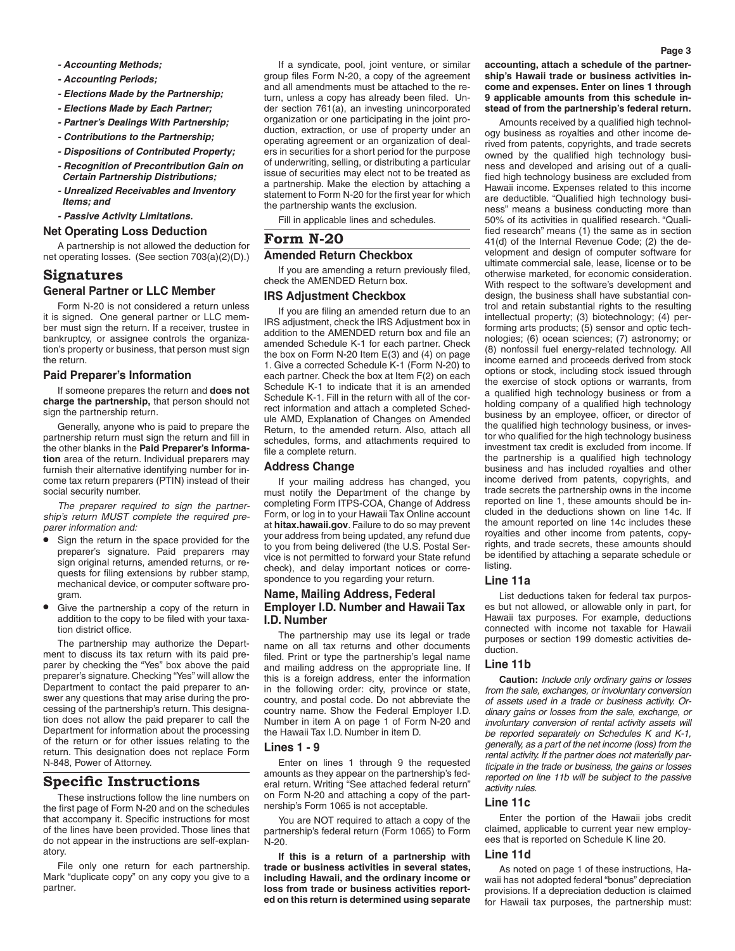- *Accounting Periods;*
- *Elections Made by the Partnership;*
- *Elections Made by Each Partner;*
- *Partner's Dealings With Partnership;*
- *Contributions to the Partnership;*
- *Dispositions of Contributed Property;*
- *Recognition of Precontribution Gain on Certain Partnership Distributions;*
- *Unrealized Receivables and Inventory Items; and*
- *Passive Activity Limitations.*

#### **Net Operating Loss Deduction**

A partnership is not allowed the deduction for net operating losses. (See section 703(a)(2)(D).)

## **Signatures General Partner or LLC Member**

Form N-20 is not considered a return unless it is signed. One general partner or LLC member must sign the return. If a receiver, trustee in bankruptcy, or assignee controls the organization's property or business, that person must sign the return.

#### **Paid Preparer's Information**

If someone prepares the return and **does not charge the partnership,** that person should not sign the partnership return.

Generally, anyone who is paid to prepare the partnership return must sign the return and fill in the other blanks in the **Paid Preparer's Information** area of the return. Individual preparers may furnish their alternative identifying number for income tax return preparers (PTIN) instead of their social security number.

*The preparer required to sign the partnership's return MUST complete the required preparer information and:*

- Sign the return in the space provided for the preparer's signature. Paid preparers may sign original returns, amended returns, or requests for filing extensions by rubber stamp, mechanical device, or computer software program.
- Give the partnership a copy of the return in addition to the copy to be filed with your taxation district office.

The partnership may authorize the Department to discuss its tax return with its paid preparer by checking the "Yes" box above the paid preparer's signature. Checking "Yes" will allow the Department to contact the paid preparer to answer any questions that may arise during the processing of the partnership's return. This designation does not allow the paid preparer to call the Department for information about the processing of the return or for other issues relating to the return. This designation does not replace Form N-848, Power of Attorney.

# **Specific Instructions**

These instructions follow the line numbers on the first page of Form N-20 and on the schedules that accompany it. Specific instructions for most of the lines have been provided. Those lines that do not appear in the instructions are self-explanatory.

File only one return for each partnership. Mark "duplicate copy" on any copy you give to a partner.

If a syndicate, pool, joint venture, or similar group files Form N-20, a copy of the agreement and all amendments must be attached to the return, unless a copy has already been filed. Under section 761(a), an investing unincorporated organization or one participating in the joint production, extraction, or use of property under an operating agreement or an organization of dealers in securities for a short period for the purpose of underwriting, selling, or distributing a particular issue of securities may elect not to be treated as a partnership. Make the election by attaching a statement to Form N-20 for the first year for which the partnership wants the exclusion.

Fill in applicable lines and schedules.

## **Form N-20**

# **Amended Return Checkbox**

If you are amending a return previously filed, check the AMENDED Return box.

## **IRS Adjustment Checkbox**

If you are filing an amended return due to an IRS adjustment, check the IRS Adjustment box in addition to the AMENDED return box and file an amended Schedule K-1 for each partner. Check the box on Form N-20 Item E(3) and (4) on page 1. Give a corrected Schedule K-1 (Form N-20) to each partner. Check the box at Item F(2) on each Schedule K-1 to indicate that it is an amended Schedule K-1. Fill in the return with all of the correct information and attach a completed Schedule AMD, Explanation of Changes on Amended Return, to the amended return. Also, attach all schedules, forms, and attachments required to file a complete return.

## **Address Change**

If your mailing address has changed, you must notify the Department of the change by completing Form ITPS-COA, Change of Address Form, or log in to your Hawaii Tax Online account at **hitax.hawaii.gov**. Failure to do so may prevent your address from being updated, any refund due to you from being delivered (the U.S. Postal Service is not permitted to forward your State refund check), and delay important notices or correspondence to you regarding your return.

## **Name, Mailing Address, Federal Employer I.D. Number and Hawaii Tax I.D. Number**

The partnership may use its legal or trade name on all tax returns and other documents filed. Print or type the partnership's legal name and mailing address on the appropriate line. If this is a foreign address, enter the information in the following order: city, province or state, country, and postal code. Do not abbreviate the country name. Show the Federal Employer I.D. Number in item A on page 1 of Form N-20 and the Hawaii Tax I.D. Number in item D.

#### **Lines 1 - 9**

Enter on lines 1 through 9 the requested amounts as they appear on the partnership's federal return. Writing "See attached federal return" on Form N-20 and attaching a copy of the partnership's Form 1065 is not acceptable.

You are NOT required to attach a copy of the partnership's federal return (Form 1065) to Form N-20.

**If this is a return of a partnership with trade or business activities in several states, including Hawaii, and the ordinary income or loss from trade or business activities reported on this return is determined using separate** 

#### **accounting, attach a schedule of the partnership's Hawaii trade or business activities income and expenses. Enter on lines 1 through 9 applicable amounts from this schedule instead of from the partnership's federal return.**

Amounts received by a qualified high technology business as royalties and other income derived from patents, copyrights, and trade secrets owned by the qualified high technology business and developed and arising out of a qualified high technology business are excluded from Hawaii income. Expenses related to this income are deductible. "Qualified high technology business" means a business conducting more than 50% of its activities in qualified research. "Qualified research" means (1) the same as in section 41(d) of the Internal Revenue Code; (2) the development and design of computer software for ultimate commercial sale, lease, license or to be otherwise marketed, for economic consideration. With respect to the software's development and design, the business shall have substantial control and retain substantial rights to the resulting intellectual property; (3) biotechnology; (4) performing arts products; (5) sensor and optic technologies; (6) ocean sciences; (7) astronomy; or (8) nonfossil fuel energy-related technology. All income earned and proceeds derived from stock options or stock, including stock issued through the exercise of stock options or warrants, from a qualified high technology business or from a holding company of a qualified high technology business by an employee, officer, or director of the qualified high technology business, or investor who qualified for the high technology business investment tax credit is excluded from income. If the partnership is a qualified high technology business and has included royalties and other income derived from patents, copyrights, and trade secrets the partnership owns in the income reported on line 1, these amounts should be included in the deductions shown on line 14c. If the amount reported on line 14c includes these royalties and other income from patents, copyrights, and trade secrets, these amounts should be identified by attaching a separate schedule or listing.

#### **Line 11a**

List deductions taken for federal tax purposes but not allowed, or allowable only in part, for Hawaii tax purposes. For example, deductions connected with income not taxable for Hawaii purposes or section 199 domestic activities deduction.

## **Line 11b**

**Caution:** *Include only ordinary gains or losses from the sale, exchanges, or involuntary conversion of assets used in a trade or business activity. Ordinary gains or losses from the sale, exchange, or involuntary conversion of rental activity assets will be reported separately on Schedules K and K-1, generally, as a part of the net income (loss) from the rental activity. If the partner does not materially participate in the trade or business, the gains or losses reported on line 11b will be subject to the passive activity rules.*

#### **Line 11c**

Enter the portion of the Hawaii jobs credit claimed, applicable to current year new employees that is reported on Schedule K line 20.

#### **Line 11d**

As noted on page 1 of these instructions, Hawaii has not adopted federal "bonus" depreciation provisions. If a depreciation deduction is claimed for Hawaii tax purposes, the partnership must: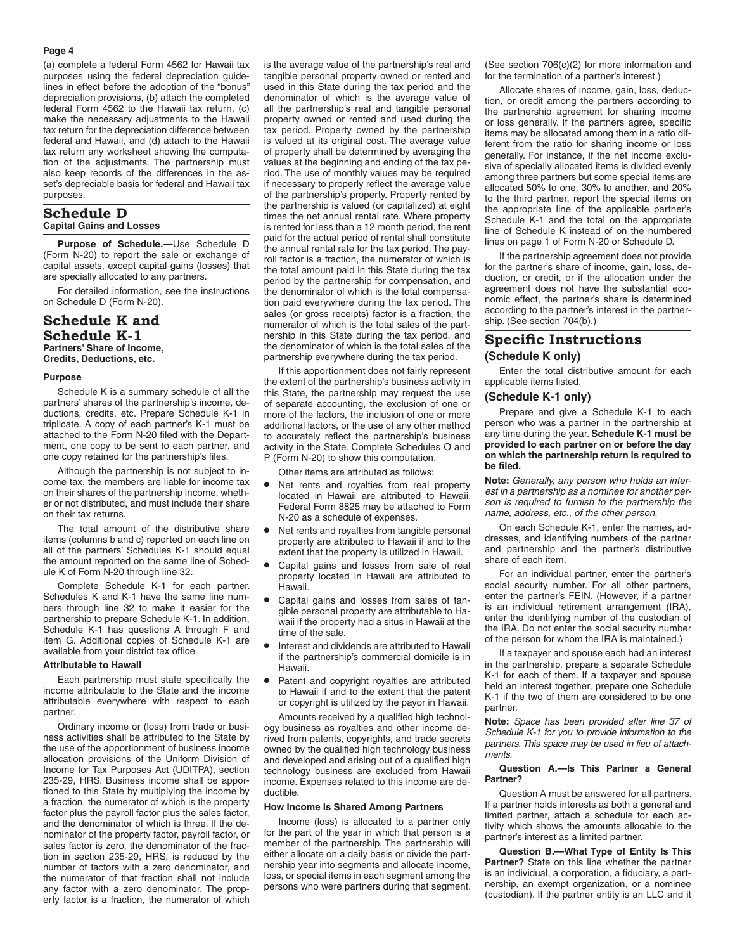#### **Page 4**

(a) complete a federal Form 4562 for Hawaii tax purposes using the federal depreciation guidelines in effect before the adoption of the "bonus" depreciation provisions, (b) attach the completed federal Form 4562 to the Hawaii tax return, (c) make the necessary adjustments to the Hawaii tax return for the depreciation difference between federal and Hawaii, and (d) attach to the Hawaii tax return any worksheet showing the computation of the adjustments. The partnership must also keep records of the differences in the asset's depreciable basis for federal and Hawaii tax purposes.

#### **Schedule D Capital Gains and Losses**

**Purpose of Schedule.—**Use Schedule D (Form N-20) to report the sale or exchange of capital assets, except capital gains (losses) that are specially allocated to any partners.

For detailed information, see the instructions on Schedule D (Form N-20).

## **Schedule K and Schedule K-1 Partners' Share of Income, Credits, Deductions, etc.**

#### **Purpose**

Schedule K is a summary schedule of all the partners' shares of the partnership's income, deductions, credits, etc. Prepare Schedule K-1 in triplicate. A copy of each partner's K-1 must be attached to the Form N-20 filed with the Department, one copy to be sent to each partner, and one copy retained for the partnership's files.

Although the partnership is not subject to income tax, the members are liable for income tax on their shares of the partnership income, whether or not distributed, and must include their share on their tax returns.

The total amount of the distributive share items (columns b and c) reported on each line on all of the partners' Schedules K-1 should equal the amount reported on the same line of Schedule K of Form N-20 through line 32.

Complete Schedule K-1 for each partner. Schedules K and K-1 have the same line numbers through line 32 to make it easier for the partnership to prepare Schedule K-1. In addition, Schedule K-1 has questions A through F and item G. Additional copies of Schedule K-1 are available from your district tax office.

#### **Attributable to Hawaii**

Each partnership must state specifically the income attributable to the State and the income attributable everywhere with respect to each partner.

Ordinary income or (loss) from trade or business activities shall be attributed to the State by the use of the apportionment of business income allocation provisions of the Uniform Division of Income for Tax Purposes Act (UDITPA), section 235-29, HRS. Business income shall be apportioned to this State by multiplying the income by a fraction, the numerator of which is the property factor plus the payroll factor plus the sales factor, and the denominator of which is three. If the denominator of the property factor, payroll factor, or sales factor is zero, the denominator of the fraction in section 235-29, HRS, is reduced by the number of factors with a zero denominator, and the numerator of that fraction shall not include any factor with a zero denominator. The property factor is a fraction, the numerator of which

is the average value of the partnership's real and tangible personal property owned or rented and used in this State during the tax period and the denominator of which is the average value of all the partnership's real and tangible personal property owned or rented and used during the tax period. Property owned by the partnership is valued at its original cost. The average value of property shall be determined by averaging the values at the beginning and ending of the tax period. The use of monthly values may be required if necessary to properly reflect the average value of the partnership's property. Property rented by the partnership is valued (or capitalized) at eight times the net annual rental rate. Where property is rented for less than a 12 month period, the rent paid for the actual period of rental shall constitute the annual rental rate for the tax period. The payroll factor is a fraction, the numerator of which is the total amount paid in this State during the tax period by the partnership for compensation, and the denominator of which is the total compensation paid everywhere during the tax period. The sales (or gross receipts) factor is a fraction, the numerator of which is the total sales of the partnership in this State during the tax period, and the denominator of which is the total sales of the partnership everywhere during the tax period.

If this apportionment does not fairly represent the extent of the partnership's business activity in this State, the partnership may request the use of separate accounting, the exclusion of one or more of the factors, the inclusion of one or more additional factors, or the use of any other method to accurately reflect the partnership's business activity in the State. Complete Schedules O and P (Form N-20) to show this computation.

Other items are attributed as follows:

- Net rents and royalties from real property located in Hawaii are attributed to Hawaii. Federal Form 8825 may be attached to Form N-20 as a schedule of expenses.
- Net rents and royalties from tangible personal property are attributed to Hawaii if and to the extent that the property is utilized in Hawaii.
- Capital gains and losses from sale of real property located in Hawaii are attributed to Hawaii.
- Capital gains and losses from sales of tangible personal property are attributable to Hawaii if the property had a situs in Hawaii at the time of the sale.
- Interest and dividends are attributed to Hawaii if the partnership's commercial domicile is in Hawaii.
- Patent and copyright royalties are attributed to Hawaii if and to the extent that the patent or copyright is utilized by the payor in Hawaii.

Amounts received by a qualified high technology business as royalties and other income derived from patents, copyrights, and trade secrets owned by the qualified high technology business and developed and arising out of a qualified high technology business are excluded from Hawaii income. Expenses related to this income are deductible.

#### **How Income Is Shared Among Partners**

Income (loss) is allocated to a partner only for the part of the year in which that person is a member of the partnership. The partnership will either allocate on a daily basis or divide the partnership year into segments and allocate income, loss, or special items in each segment among the persons who were partners during that segment.

(See section 706(c)(2) for more information and for the termination of a partner's interest.)

Allocate shares of income, gain, loss, deduction, or credit among the partners according to the partnership agreement for sharing income or loss generally. If the partners agree, specific items may be allocated among them in a ratio different from the ratio for sharing income or loss generally. For instance, if the net income exclusive of specially allocated items is divided evenly among three partners but some special items are allocated 50% to one, 30% to another, and 20% to the third partner, report the special items on the appropriate line of the applicable partner's Schedule K-1 and the total on the appropriate line of Schedule K instead of on the numbered lines on page 1 of Form N-20 or Schedule D.

If the partnership agreement does not provide for the partner's share of income, gain, loss, deduction, or credit, or if the allocation under the agreement does not have the substantial economic effect, the partner's share is determined according to the partner's interest in the partnership. (See section 704(b).)

## **Specific Instructions (Schedule K only)**

Enter the total distributive amount for each applicable items listed.

#### **(Schedule K-1 only)**

Prepare and give a Schedule K-1 to each person who was a partner in the partnership at any time during the year. **Schedule K-1 must be provided to each partner on or before the day on which the partnership return is required to be filed.**

**Note:** *Generally, any person who holds an interest in a partnership as a nominee for another person is required to furnish to the partnership the name, address, etc., of the other person.*

On each Schedule K-1, enter the names, addresses, and identifying numbers of the partner and partnership and the partner's distributive share of each item.

For an individual partner, enter the partner's social security number. For all other partners, enter the partner's FEIN. (However, if a partner is an individual retirement arrangement (IRA), enter the identifying number of the custodian of the IRA. Do not enter the social security number of the person for whom the IRA is maintained.)

If a taxpayer and spouse each had an interest in the partnership, prepare a separate Schedule K-1 for each of them. If a taxpayer and spouse held an interest together, prepare one Schedule K-1 if the two of them are considered to be one partner.

**Note:** *Space has been provided after line 37 of Schedule K-1 for you to provide information to the partners. This space may be used in lieu of attachments.*

#### **Question A.—Is This Partner a General Partner?**

Question A must be answered for all partners. If a partner holds interests as both a general and limited partner, attach a schedule for each activity which shows the amounts allocable to the partner's interest as a limited partner.

**Question B.—What Type of Entity Is This Partner?** State on this line whether the partner is an individual, a corporation, a fiduciary, a partnership, an exempt organization, or a nominee (custodian). If the partner entity is an LLC and it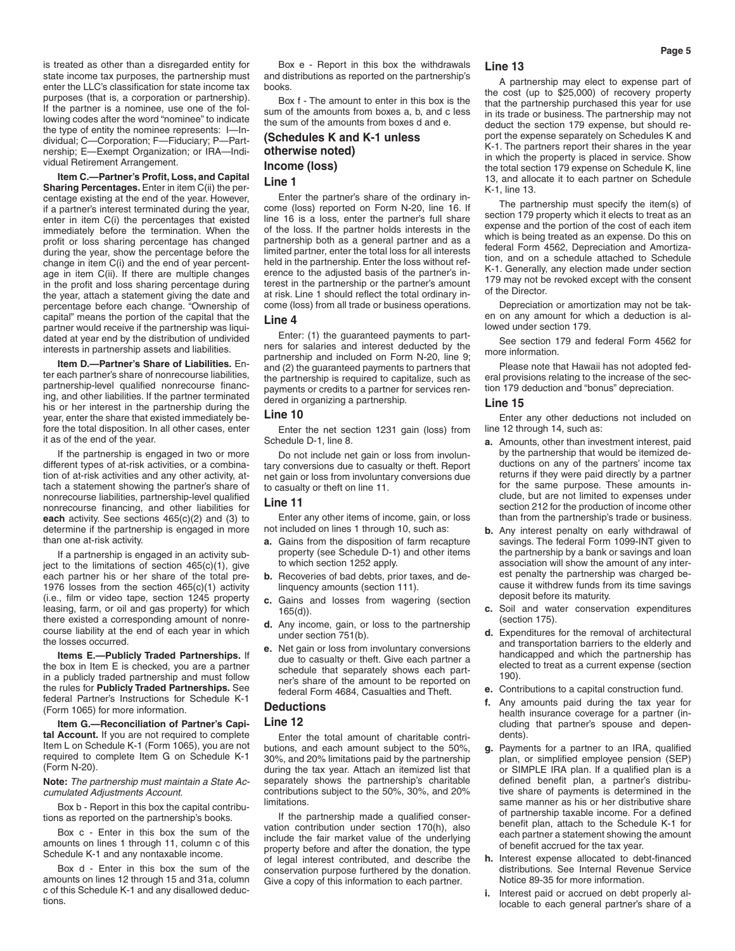is treated as other than a disregarded entity for state income tax purposes, the partnership must enter the LLC's classification for state income tax purposes (that is, a corporation or partnership). If the partner is a nominee, use one of the following codes after the word "nominee" to indicate the type of entity the nominee represents: I—Individual; C—Corporation; F—Fiduciary; P—Partnership; E—Exempt Organization; or IRA—Individual Retirement Arrangement.

**Item C.—Partner's Profit, Loss, and Capital Sharing Percentages.** Enter in item C(ii) the percentage existing at the end of the year. However, if a partner's interest terminated during the year, enter in item C(i) the percentages that existed immediately before the termination. When the profit or loss sharing percentage has changed during the year, show the percentage before the change in item C(i) and the end of year percentage in item C(ii). If there are multiple changes in the profit and loss sharing percentage during the year, attach a statement giving the date and percentage before each change. "Ownership of capital" means the portion of the capital that the partner would receive if the partnership was liquidated at year end by the distribution of undivided interests in partnership assets and liabilities.

**Item D.—Partner's Share of Liabilities.** Enter each partner's share of nonrecourse liabilities, partnership-level qualified nonrecourse financing, and other liabilities. If the partner terminated his or her interest in the partnership during the year, enter the share that existed immediately before the total disposition. In all other cases, enter it as of the end of the year.

If the partnership is engaged in two or more different types of at-risk activities, or a combination of at-risk activities and any other activity, attach a statement showing the partner's share of nonrecourse liabilities, partnership-level qualified nonrecourse financing, and other liabilities for **each** activity. See sections 465(c)(2) and (3) to determine if the partnership is engaged in more than one at-risk activity.

If a partnership is engaged in an activity subject to the limitations of section  $465(c)(1)$ , give each partner his or her share of the total pre-1976 losses from the section 465(c)(1) activity (i.e., film or video tape, section 1245 property leasing, farm, or oil and gas property) for which there existed a corresponding amount of nonrecourse liability at the end of each year in which the losses occurred.

**Items E.—Publicly Traded Partnerships.** If the box in Item E is checked, you are a partner in a publicly traded partnership and must follow the rules for **Publicly Traded Partnerships.** See federal Partner's Instructions for Schedule K-1 (Form 1065) for more information.

**Item G.—Reconciliation of Partner's Capital Account.** If you are not required to complete Item L on Schedule K-1 (Form 1065), you are not required to complete Item G on Schedule K-1 (Form N-20).

**Note:** *The partnership must maintain a State Accumulated Adjustments Account.*

Box b - Report in this box the capital contributions as reported on the partnership's books.

Box c - Enter in this box the sum of the amounts on lines 1 through 11, column c of this Schedule K-1 and any nontaxable income.

Box d - Enter in this box the sum of the amounts on lines 12 through 15 and 31a, column c of this Schedule K-1 and any disallowed deductions.

Box e - Report in this box the withdrawals and distributions as reported on the partnership's books.

Box f - The amount to enter in this box is the sum of the amounts from boxes a, b, and c less the sum of the amounts from boxes d and e.

## **(Schedules K and K-1 unless otherwise noted) Income (loss) Line 1**

Enter the partner's share of the ordinary income (loss) reported on Form N-20, line 16. If line 16 is a loss, enter the partner's full share of the loss. If the partner holds interests in the partnership both as a general partner and as a limited partner, enter the total loss for all interests held in the partnership. Enter the loss without reference to the adjusted basis of the partner's interest in the partnership or the partner's amount at risk. Line 1 should reflect the total ordinary income (loss) from all trade or business operations.

## **Line 4**

Enter: (1) the guaranteed payments to partners for salaries and interest deducted by the partnership and included on Form N-20, line 9; and (2) the guaranteed payments to partners that the partnership is required to capitalize, such as payments or credits to a partner for services rendered in organizing a partnership.

#### **Line 10**

Enter the net section 1231 gain (loss) from Schedule D-1, line 8.

Do not include net gain or loss from involuntary conversions due to casualty or theft. Report net gain or loss from involuntary conversions due to casualty or theft on line 11.

#### **Line 11**

Enter any other items of income, gain, or loss not included on lines 1 through 10, such as:

- **a.** Gains from the disposition of farm recapture property (see Schedule D-1) and other items to which section 1252 apply.
- **b.** Recoveries of bad debts, prior taxes, and delinquency amounts (section 111).
- **c.** Gains and losses from wagering (section 165(d)).
- **d.** Any income, gain, or loss to the partnership under section 751(b).
- **e.** Net gain or loss from involuntary conversions due to casualty or theft. Give each partner a schedule that separately shows each partner's share of the amount to be reported on federal Form 4684, Casualties and Theft.

#### **Deductions**

#### **Line 12**

Enter the total amount of charitable contributions, and each amount subject to the 50%, 30%, and 20% limitations paid by the partnership during the tax year. Attach an itemized list that separately shows the partnership's charitable contributions subject to the 50%, 30%, and 20% limitations.

If the partnership made a qualified conservation contribution under section 170(h), also include the fair market value of the underlying property before and after the donation, the type of legal interest contributed, and describe the conservation purpose furthered by the donation. Give a copy of this information to each partner.

#### **Line 13**

A partnership may elect to expense part of the cost (up to \$25,000) of recovery property that the partnership purchased this year for use in its trade or business. The partnership may not deduct the section 179 expense, but should report the expense separately on Schedules K and K-1. The partners report their shares in the year in which the property is placed in service. Show the total section 179 expense on Schedule K, line 13, and allocate it to each partner on Schedule K-1, line 13.

The partnership must specify the item(s) of section 179 property which it elects to treat as an expense and the portion of the cost of each item which is being treated as an expense. Do this on federal Form 4562, Depreciation and Amortization, and on a schedule attached to Schedule K-1. Generally, any election made under section 179 may not be revoked except with the consent of the Director.

Depreciation or amortization may not be taken on any amount for which a deduction is allowed under section 179.

See section 179 and federal Form 4562 for more information.

Please note that Hawaii has not adopted federal provisions relating to the increase of the section 179 deduction and "bonus" depreciation.

## **Line 15**

Enter any other deductions not included on line 12 through 14, such as:

- **a.** Amounts, other than investment interest, paid by the partnership that would be itemized deductions on any of the partners' income tax returns if they were paid directly by a partner for the same purpose. These amounts include, but are not limited to expenses under section 212 for the production of income other than from the partnership's trade or business.
- **b.** Any interest penalty on early withdrawal of savings. The federal Form 1099-INT given to the partnership by a bank or savings and loan association will show the amount of any interest penalty the partnership was charged because it withdrew funds from its time savings deposit before its maturity.
- **c.** Soil and water conservation expenditures (section 175).
- **d.** Expenditures for the removal of architectural and transportation barriers to the elderly and handicapped and which the partnership has elected to treat as a current expense (section 190).
- **e.** Contributions to a capital construction fund.
- **f.** Any amounts paid during the tax year for health insurance coverage for a partner (including that partner's spouse and dependents).
- **g.** Payments for a partner to an IRA, qualified plan, or simplified employee pension (SEP) or SIMPLE IRA plan. If a qualified plan is a defined benefit plan, a partner's distributive share of payments is determined in the same manner as his or her distributive share of partnership taxable income. For a defined benefit plan, attach to the Schedule K-1 for each partner a statement showing the amount of benefit accrued for the tax year.
- **h.** Interest expense allocated to debt-financed distributions. See Internal Revenue Service Notice 89-35 for more information.
- **i.** Interest paid or accrued on debt properly allocable to each general partner's share of a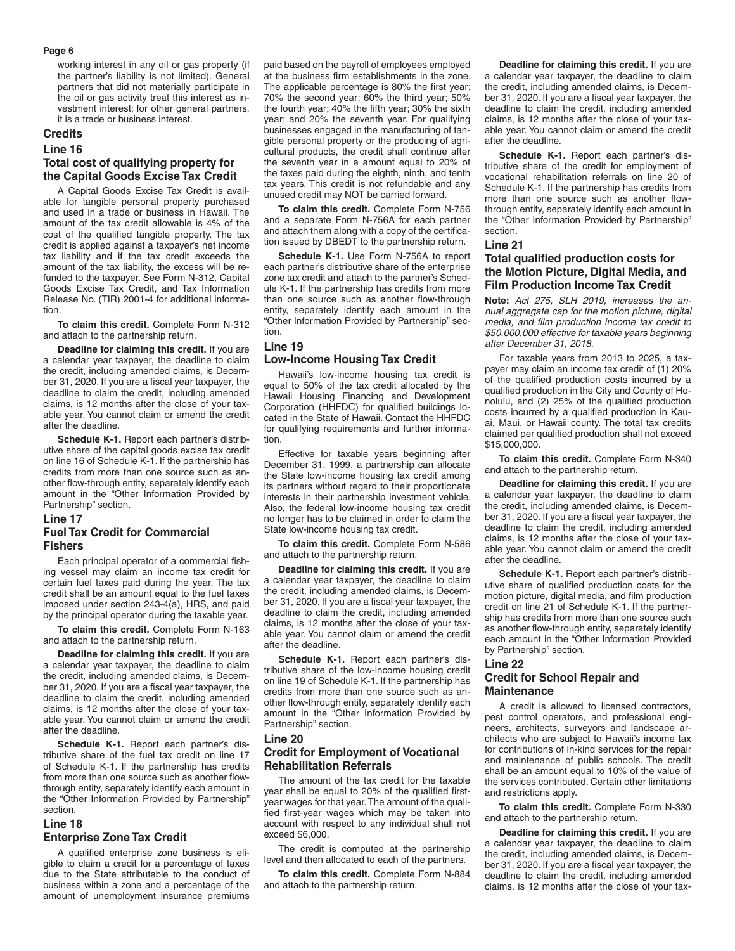#### **Page 6**

working interest in any oil or gas property (if the partner's liability is not limited). General partners that did not materially participate in the oil or gas activity treat this interest as investment interest; for other general partners, it is a trade or business interest.

## **Credits**

## **Line 16 Total cost of qualifying property for the Capital Goods Excise Tax Credit**

A Capital Goods Excise Tax Credit is available for tangible personal property purchased and used in a trade or business in Hawaii. The amount of the tax credit allowable is 4% of the cost of the qualified tangible property. The tax credit is applied against a taxpayer's net income tax liability and if the tax credit exceeds the amount of the tax liability, the excess will be refunded to the taxpayer. See Form N-312, Capital Goods Excise Tax Credit, and Tax Information Release No. (TIR) 2001-4 for additional information.

**To claim this credit.** Complete Form N-312 and attach to the partnership return.

**Deadline for claiming this credit.** If you are a calendar year taxpayer, the deadline to claim the credit, including amended claims, is December 31, 2020. If you are a fiscal year taxpayer, the deadline to claim the credit, including amended claims, is 12 months after the close of your taxable year. You cannot claim or amend the credit after the deadline.

**Schedule K-1.** Report each partner's distributive share of the capital goods excise tax credit on line 16 of Schedule K-1. If the partnership has credits from more than one source such as another flow-through entity, separately identify each amount in the "Other Information Provided by Partnership" section.

## **Line 17 Fuel Tax Credit for Commercial Fishers**

Each principal operator of a commercial fishing vessel may claim an income tax credit for certain fuel taxes paid during the year. The tax credit shall be an amount equal to the fuel taxes imposed under section 243-4(a), HRS, and paid by the principal operator during the taxable year.

**To claim this credit.** Complete Form N-163 and attach to the partnership return.

**Deadline for claiming this credit.** If you are a calendar year taxpayer, the deadline to claim the credit, including amended claims, is December 31, 2020. If you are a fiscal year taxpayer, the deadline to claim the credit, including amended claims, is 12 months after the close of your taxable year. You cannot claim or amend the credit after the deadline.

**Schedule K-1.** Report each partner's distributive share of the fuel tax credit on line 17 of Schedule K-1. If the partnership has credits from more than one source such as another flowthrough entity, separately identify each amount in the "Other Information Provided by Partnership" section.

#### **Line 18**

#### **Enterprise Zone Tax Credit**

A qualified enterprise zone business is eligible to claim a credit for a percentage of taxes due to the State attributable to the conduct of business within a zone and a percentage of the amount of unemployment insurance premiums paid based on the payroll of employees employed at the business firm establishments in the zone. The applicable percentage is 80% the first year; 70% the second year; 60% the third year; 50% the fourth year; 40% the fifth year; 30% the sixth year; and 20% the seventh year. For qualifying businesses engaged in the manufacturing of tangible personal property or the producing of agricultural products, the credit shall continue after the seventh year in a amount equal to 20% of the taxes paid during the eighth, ninth, and tenth tax years. This credit is not refundable and any unused credit may NOT be carried forward.

**To claim this credit.** Complete Form N-756 and a separate Form N-756A for each partner and attach them along with a copy of the certification issued by DBEDT to the partnership return.

**Schedule K-1.** Use Form N-756A to report each partner's distributive share of the enterprise zone tax credit and attach to the partner's Schedule K-1. If the partnership has credits from more than one source such as another flow-through entity, separately identify each amount in the "Other Information Provided by Partnership" section.

#### **Line 19 Low-Income Housing Tax Credit**

Hawaii's low-income housing tax credit is equal to 50% of the tax credit allocated by the Hawaii Housing Financing and Development Corporation (HHFDC) for qualified buildings located in the State of Hawaii. Contact the HHFDC for qualifying requirements and further information.

Effective for taxable years beginning after December 31, 1999, a partnership can allocate the State low-income housing tax credit among its partners without regard to their proportionate interests in their partnership investment vehicle. Also, the federal low-income housing tax credit no longer has to be claimed in order to claim the State low-income housing tax credit.

**To claim this credit.** Complete Form N-586 and attach to the partnership return.

**Deadline for claiming this credit.** If you are a calendar year taxpayer, the deadline to claim the credit, including amended claims, is December 31, 2020. If you are a fiscal year taxpayer, the deadline to claim the credit, including amended claims, is 12 months after the close of your taxable year. You cannot claim or amend the credit after the deadline.

**Schedule K-1.** Report each partner's distributive share of the low-income housing credit on line 19 of Schedule K-1. If the partnership has credits from more than one source such as another flow-through entity, separately identify each amount in the "Other Information Provided by Partnership" section.

## **Line 20 Credit for Employment of Vocational Rehabilitation Referrals**

The amount of the tax credit for the taxable year shall be equal to 20% of the qualified firstyear wages for that year. The amount of the qualified first-year wages which may be taken into account with respect to any individual shall not exceed \$6,000.

The credit is computed at the partnership level and then allocated to each of the partners.

**To claim this credit.** Complete Form N-884 and attach to the partnership return.

**Deadline for claiming this credit.** If you are a calendar year taxpayer, the deadline to claim the credit, including amended claims, is December 31, 2020. If you are a fiscal year taxpayer, the deadline to claim the credit, including amended claims, is 12 months after the close of your taxable year. You cannot claim or amend the credit after the deadline.

**Schedule K-1.** Report each partner's distributive share of the credit for employment of vocational rehabilitation referrals on line 20 of Schedule K-1. If the partnership has credits from more than one source such as another flowthrough entity, separately identify each amount in the "Other Information Provided by Partnership" section.

#### **Line 21**

## **Total qualified production costs for the Motion Picture, Digital Media, and Film Production Income Tax Credit**

**Note:** *Act 275, SLH 2019, increases the annual aggregate cap for the motion picture, digital media, and film production income tax credit to \$50,000,000 effective for taxable years beginning after December 31, 2018.*

For taxable years from 2013 to 2025, a taxpayer may claim an income tax credit of (1) 20% of the qualified production costs incurred by a qualified production in the City and County of Honolulu, and (2) 25% of the qualified production costs incurred by a qualified production in Kauai, Maui, or Hawaii county. The total tax credits claimed per qualified production shall not exceed \$15,000,000.

**To claim this credit.** Complete Form N-340 and attach to the partnership return.

**Deadline for claiming this credit.** If you are a calendar year taxpayer, the deadline to claim the credit, including amended claims, is December 31, 2020. If you are a fiscal year taxpayer, the deadline to claim the credit, including amended claims, is 12 months after the close of your taxable year. You cannot claim or amend the credit after the deadline.

**Schedule K-1.** Report each partner's distributive share of qualified production costs for the motion picture, digital media, and film production credit on line 21 of Schedule K-1. If the partnership has credits from more than one source such as another flow-through entity, separately identify each amount in the "Other Information Provided by Partnership" section.

## **Line 22 Credit for School Repair and Maintenance**

A credit is allowed to licensed contractors, pest control operators, and professional engineers, architects, surveyors and landscape architects who are subject to Hawaii's income tax for contributions of in-kind services for the repair and maintenance of public schools. The credit shall be an amount equal to 10% of the value of the services contributed. Certain other limitations and restrictions apply.

**To claim this credit.** Complete Form N-330 and attach to the partnership return.

**Deadline for claiming this credit.** If you are a calendar year taxpayer, the deadline to claim the credit, including amended claims, is December 31, 2020. If you are a fiscal year taxpayer, the deadline to claim the credit, including amended claims, is 12 months after the close of your tax-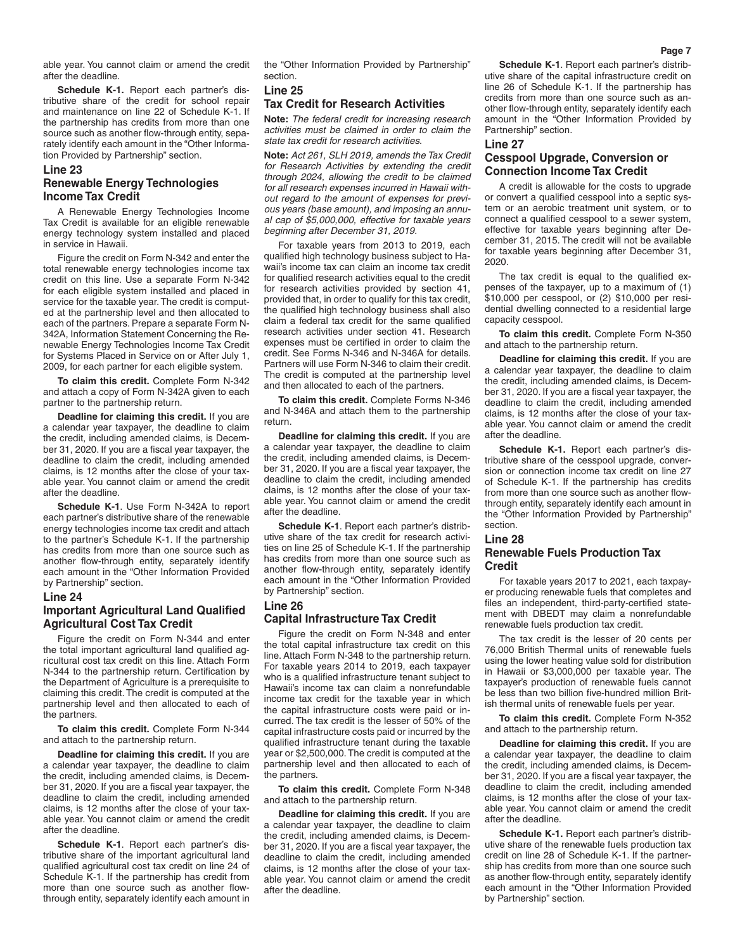able year. You cannot claim or amend the credit after the deadline.

**Schedule K-1.** Report each partner's distributive share of the credit for school repair and maintenance on line 22 of Schedule K-1. If the partnership has credits from more than one source such as another flow-through entity, separately identify each amount in the "Other Information Provided by Partnership" section.

## **Line 23 Renewable Energy Technologies Income Tax Credit**

A Renewable Energy Technologies Income Tax Credit is available for an eligible renewable energy technology system installed and placed in service in Hawaii.

Figure the credit on Form N-342 and enter the total renewable energy technologies income tax credit on this line. Use a separate Form N-342 for each eligible system installed and placed in service for the taxable year. The credit is computed at the partnership level and then allocated to each of the partners. Prepare a separate Form N-342A, Information Statement Concerning the Renewable Energy Technologies Income Tax Credit for Systems Placed in Service on or After July 1, 2009, for each partner for each eligible system.

**To claim this credit.** Complete Form N-342 and attach a copy of Form N-342A given to each partner to the partnership return.

**Deadline for claiming this credit.** If you are a calendar year taxpayer, the deadline to claim the credit, including amended claims, is December 31, 2020. If you are a fiscal year taxpayer, the deadline to claim the credit, including amended claims, is 12 months after the close of your taxable year. You cannot claim or amend the credit after the deadline.

**Schedule K-1**. Use Form N-342A to report each partner's distributive share of the renewable energy technologies income tax credit and attach to the partner's Schedule K-1. If the partnership has credits from more than one source such as another flow-through entity, separately identify each amount in the "Other Information Provided by Partnership" section.

#### **Line 24**

## **Important Agricultural Land Qualified Agricultural Cost Tax Credit**

Figure the credit on Form N-344 and enter the total important agricultural land qualified agricultural cost tax credit on this line. Attach Form N-344 to the partnership return. Certification by the Department of Agriculture is a prerequisite to claiming this credit. The credit is computed at the partnership level and then allocated to each of the partners.

**To claim this credit.** Complete Form N-344 and attach to the partnership return.

**Deadline for claiming this credit.** If you are a calendar year taxpayer, the deadline to claim the credit, including amended claims, is December 31, 2020. If you are a fiscal year taxpayer, the deadline to claim the credit, including amended claims, is 12 months after the close of your taxable year. You cannot claim or amend the credit after the deadline.

**Schedule K-1**. Report each partner's distributive share of the important agricultural land qualified agricultural cost tax credit on line 24 of Schedule K-1. If the partnership has credit from more than one source such as another flowthrough entity, separately identify each amount in

the "Other Information Provided by Partnership" section.

## **Line 25**

#### **Tax Credit for Research Activities**

**Note:** *The federal credit for increasing research activities must be claimed in order to claim the state tax credit for research activities.*

**Note:** *Act 261, SLH 2019, amends the Tax Credit for Research Activities by extending the credit through 2024, allowing the credit to be claimed for all research expenses incurred in Hawaii without regard to the amount of expenses for previous years (base amount), and imposing an annual cap of \$5,000,000, effective for taxable years beginning after December 31, 2019.*

For taxable years from 2013 to 2019, each qualified high technology business subject to Hawaii's income tax can claim an income tax credit for qualified research activities equal to the credit for research activities provided by section 41, provided that, in order to qualify for this tax credit, the qualified high technology business shall also claim a federal tax credit for the same qualified research activities under section 41. Research expenses must be certified in order to claim the credit. See Forms N-346 and N-346A for details. Partners will use Form N-346 to claim their credit. The credit is computed at the partnership level and then allocated to each of the partners.

**To claim this credit.** Complete Forms N-346 and N-346A and attach them to the partnership return.

**Deadline for claiming this credit.** If you are a calendar year taxpayer, the deadline to claim the credit, including amended claims, is December 31, 2020. If you are a fiscal year taxpayer, the deadline to claim the credit, including amended claims, is 12 months after the close of your taxable year. You cannot claim or amend the credit after the deadline.

**Schedule K-1**. Report each partner's distributive share of the tax credit for research activities on line 25 of Schedule K-1. If the partnership has credits from more than one source such as another flow-through entity, separately identify each amount in the "Other Information Provided by Partnership" section.

## **Line 26 Capital Infrastructure Tax Credit**

Figure the credit on Form N-348 and enter the total capital infrastructure tax credit on this line. Attach Form N-348 to the partnership return. For taxable years 2014 to 2019, each taxpayer who is a qualified infrastructure tenant subject to Hawaii's income tax can claim a nonrefundable income tax credit for the taxable year in which the capital infrastructure costs were paid or incurred. The tax credit is the lesser of 50% of the capital infrastructure costs paid or incurred by the qualified infrastructure tenant during the taxable year or \$2,500,000. The credit is computed at the partnership level and then allocated to each of the partners.

**To claim this credit.** Complete Form N-348 and attach to the partnership return.

**Deadline for claiming this credit.** If you are a calendar year taxpayer, the deadline to claim the credit, including amended claims, is December 31, 2020. If you are a fiscal year taxpayer, the deadline to claim the credit, including amended claims, is 12 months after the close of your taxable year. You cannot claim or amend the credit after the deadline.

**Schedule K-1**. Report each partner's distributive share of the capital infrastructure credit on line 26 of Schedule K-1. If the partnership has credits from more than one source such as another flow-through entity, separately identify each amount in the "Other Information Provided by Partnership" section.

# **Line 27**

## **Cesspool Upgrade, Conversion or Connection Income Tax Credit**

A credit is allowable for the costs to upgrade or convert a qualified cesspool into a septic system or an aerobic treatment unit system, or to connect a qualified cesspool to a sewer system, effective for taxable years beginning after December 31, 2015. The credit will not be available for taxable years beginning after December 31, 2020.

The tax credit is equal to the qualified expenses of the taxpayer, up to a maximum of (1) \$10,000 per cesspool, or (2) \$10,000 per residential dwelling connected to a residential large capacity cesspool.

**To claim this credit.** Complete Form N-350 and attach to the partnership return.

**Deadline for claiming this credit.** If you are a calendar year taxpayer, the deadline to claim the credit, including amended claims, is December 31, 2020. If you are a fiscal year taxpayer, the deadline to claim the credit, including amended claims, is 12 months after the close of your taxable year. You cannot claim or amend the credit after the deadline.

**Schedule K-1.** Report each partner's distributive share of the cesspool upgrade, conversion or connection income tax credit on line 27 of Schedule K-1. If the partnership has credits from more than one source such as another flowthrough entity, separately identify each amount in the "Other Information Provided by Partnership" section.

#### **Line 28**

## **Renewable Fuels Production Tax Credit**

For taxable years 2017 to 2021, each taxpayer producing renewable fuels that completes and files an independent, third-party-certified statement with DBEDT may claim a nonrefundable renewable fuels production tax credit.

The tax credit is the lesser of 20 cents per 76,000 British Thermal units of renewable fuels using the lower heating value sold for distribution in Hawaii or \$3,000,000 per taxable year. The taxpayer's production of renewable fuels cannot be less than two billion five-hundred million British thermal units of renewable fuels per year.

**To claim this credit.** Complete Form N-352 and attach to the partnership return.

**Deadline for claiming this credit.** If you are a calendar year taxpayer, the deadline to claim the credit, including amended claims, is December 31, 2020. If you are a fiscal year taxpayer, the deadline to claim the credit, including amended claims, is 12 months after the close of your taxable year. You cannot claim or amend the credit after the deadline.

**Schedule K-1.** Report each partner's distributive share of the renewable fuels production tax credit on line 28 of Schedule K-1. If the partnership has credits from more than one source such as another flow-through entity, separately identify each amount in the "Other Information Provided by Partnership" section.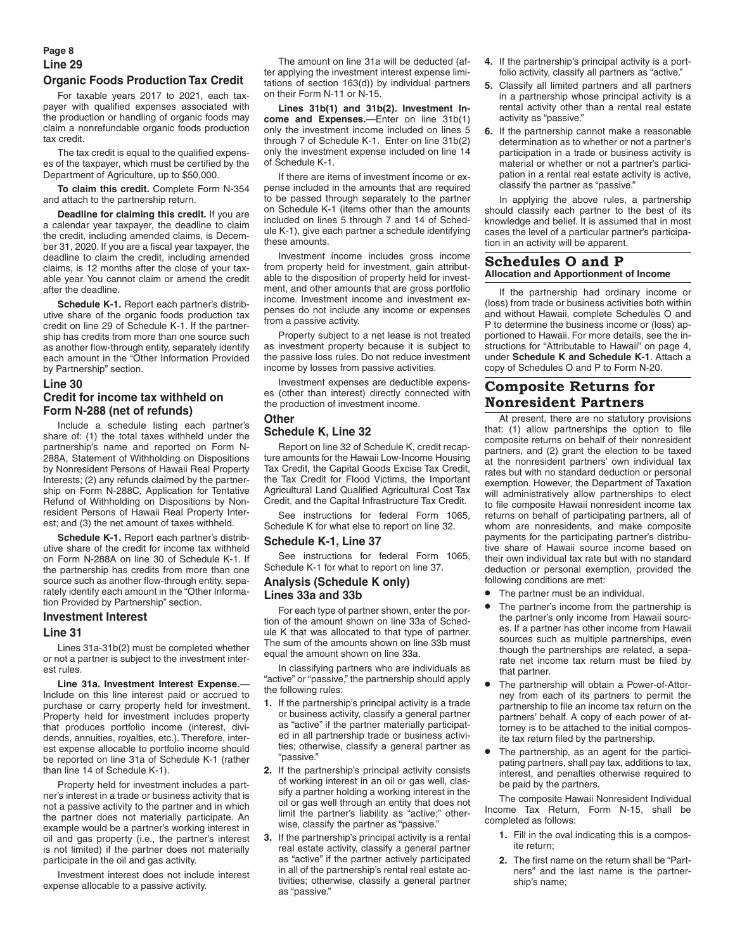## **Page 8 Line 29 Organic Foods Production Tax Credit**

For taxable years 2017 to 2021, each taxpayer with qualified expenses associated with the production or handling of organic foods may claim a nonrefundable organic foods production tax credit.

The tax credit is equal to the qualified expenses of the taxpayer, which must be certified by the Department of Agriculture, up to \$50,000.

**To claim this credit.** Complete Form N-354 and attach to the partnership return.

**Deadline for claiming this credit.** If you are a calendar year taxpayer, the deadline to claim the credit, including amended claims, is December 31, 2020. If you are a fiscal year taxpayer, the deadline to claim the credit, including amended claims, is 12 months after the close of your taxable year. You cannot claim or amend the credit after the deadline.

**Schedule K-1.** Report each partner's distributive share of the organic foods production tax credit on line 29 of Schedule K-1. If the partnership has credits from more than one source such as another flow-through entity, separately identify each amount in the "Other Information Provided by Partnership" section.

## **Line 30 Credit for income tax withheld on Form N-288 (net of refunds)**

Include a schedule listing each partner's share of: (1) the total taxes withheld under the partnership's name and reported on Form N-288A, Statement of Withholding on Dispositions by Nonresident Persons of Hawaii Real Property Interests; (2) any refunds claimed by the partnership on Form N-288C, Application for Tentative Refund of Withholding on Dispositions by Nonresident Persons of Hawaii Real Property Interest; and (3) the net amount of taxes withheld.

**Schedule K-1.** Report each partner's distributive share of the credit for income tax withheld on Form N-288A on line 30 of Schedule K-1. If the partnership has credits from more than one source such as another flow-through entity, separately identify each amount in the "Other Information Provided by Partnership" section.

## **Investment Interest**

#### **Line 31**

Lines 31a-31b(2) must be completed whether or not a partner is subject to the investment interest rules.

**Line 31a. Investment Interest Expense.**— Include on this line interest paid or accrued to purchase or carry property held for investment. Property held for investment includes property that produces portfolio income (interest, dividends, annuities, royalties, etc.). Therefore, interest expense allocable to portfolio income should be reported on line 31a of Schedule K-1 (rather than line 14 of Schedule K-1).

Property held for investment includes a partner's interest in a trade or business activity that is not a passive activity to the partner and in which the partner does not materially participate. An example would be a partner's working interest in oil and gas property (i.e., the partner's interest is not limited) if the partner does not materially participate in the oil and gas activity.

Investment interest does not include interest expense allocable to a passive activity.

The amount on line 31a will be deducted (after applying the investment interest expense limitations of section 163(d)) by individual partners on their Form N-11 or N-15.

**Lines 31b(1) and 31b(2). Investment Income and Expenses.**—Enter on line 31b(1) only the investment income included on lines 5 through 7 of Schedule K-1. Enter on line 31b(2) only the investment expense included on line 14 of Schedule K-1.

If there are items of investment income or expense included in the amounts that are required to be passed through separately to the partner on Schedule K-1 (items other than the amounts included on lines 5 through 7 and 14 of Schedule K-1), give each partner a schedule identifying these amounts.

Investment income includes gross income from property held for investment, gain attributable to the disposition of property held for investment, and other amounts that are gross portfolio income. Investment income and investment expenses do not include any income or expenses from a passive activity.

Property subject to a net lease is not treated as investment property because it is subject to the passive loss rules. Do not reduce investment income by losses from passive activities.

Investment expenses are deductible expenses (other than interest) directly connected with the production of investment income.

## **Other**

## **Schedule K, Line 32**

Report on line 32 of Schedule K, credit recapture amounts for the Hawaii Low-Income Housing Tax Credit, the Capital Goods Excise Tax Credit, the Tax Credit for Flood Victims, the Important Agricultural Land Qualified Agricultural Cost Tax Credit, and the Capital Infrastructure Tax Credit.

See instructions for federal Form 1065, Schedule K for what else to report on line 32.

## **Schedule K-1, Line 37**

See instructions for federal Form 1065, Schedule K-1 for what to report on line 37.

## **Analysis (Schedule K only) Lines 33a and 33b**

For each type of partner shown, enter the portion of the amount shown on line 33a of Schedule K that was allocated to that type of partner. The sum of the amounts shown on line 33b must equal the amount shown on line 33a.

In classifying partners who are individuals as "active" or "passive," the partnership should apply the following rules:

- **1.** If the partnership's principal activity is a trade or business activity, classify a general partner as "active" if the partner materially participated in all partnership trade or business activities; otherwise, classify a general partner as "passive."
- **2.** If the partnership's principal activity consists of working interest in an oil or gas well, classify a partner holding a working interest in the oil or gas well through an entity that does not limit the partner's liability as "active;" otherwise, classify the partner as "passive."
- **3.** If the partnership's principal activity is a rental real estate activity, classify a general partner as "active" if the partner actively participated in all of the partnership's rental real estate activities; otherwise, classify a general partner as "passive."
- **4.** If the partnership's principal activity is a portfolio activity, classify all partners as "active."
- **5.** Classify all limited partners and all partners in a partnership whose principal activity is a rental activity other than a rental real estate activity as "passive."
- **6.** If the partnership cannot make a reasonable determination as to whether or not a partner's participation in a trade or business activity is material or whether or not a partner's participation in a rental real estate activity is active, classify the partner as "passive."

In applying the above rules, a partnership should classify each partner to the best of its knowledge and belief. It is assumed that in most cases the level of a particular partner's participation in an activity will be apparent.

## **Schedules O and P Allocation and Apportionment of Income**

If the partnership had ordinary income or (loss) from trade or business activities both within and without Hawaii, complete Schedules O and P to determine the business income or (loss) apportioned to Hawaii. For more details, see the instructions for "Attributable to Hawaii" on page 4, under **Schedule K and Schedule K-1**. Attach a copy of Schedules O and P to Form N-20.

# **Composite Returns for Nonresident Partners**

At present, there are no statutory provisions that: (1) allow partnerships the option to file composite returns on behalf of their nonresident partners, and (2) grant the election to be taxed at the nonresident partners' own individual tax rates but with no standard deduction or personal exemption. However, the Department of Taxation will administratively allow partnerships to elect to file composite Hawaii nonresident income tax returns on behalf of participating partners, all of whom are nonresidents, and make composite payments for the participating partner's distributive share of Hawaii source income based on their own individual tax rate but with no standard deduction or personal exemption, provided the following conditions are met:

- The partner must be an individual.
- The partner's income from the partnership is the partner's only income from Hawaii sources. If a partner has other income from Hawaii sources such as multiple partnerships, even though the partnerships are related, a separate net income tax return must be filed by that partner.
- The partnership will obtain a Power-of-Attorney from each of its partners to permit the partnership to file an income tax return on the partners' behalf. A copy of each power of attorney is to be attached to the initial composite tax return filed by the partnership.
- The partnership, as an agent for the participating partners, shall pay tax, additions to tax, interest, and penalties otherwise required to be paid by the partners.

The composite Hawaii Nonresident Individual Income Tax Return, Form N-15, shall be completed as follows:

- **1.** Fill in the oval indicating this is a composite return;
- **2.** The first name on the return shall be "Partners" and the last name is the partnership's name;